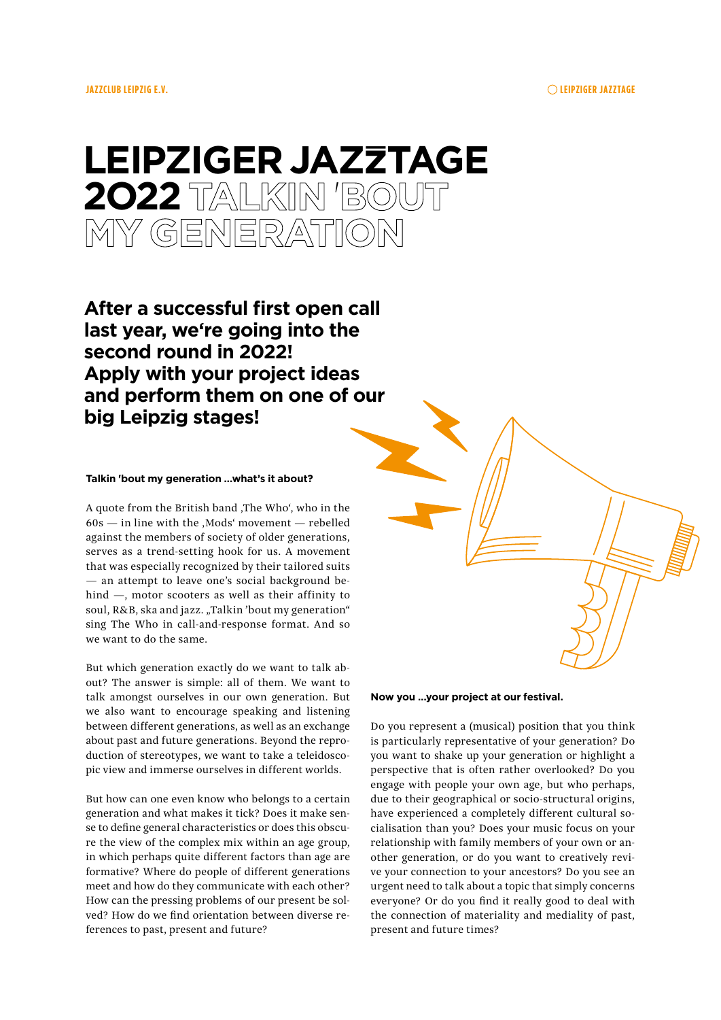# Leipziger JazZtage 2O22 Talkin 'bout my generation

**After a successful first open call last year, we're going into the second round in 2022! Apply with your project ideas and perform them on one of our big Leipzig stages!**

### **Talkin 'bout my generation …what's it about?**

A quote from the British band ,The Who', who in the  $60s$  — in line with the , Mods' movement — rebelled against the members of society of older generations, serves as a trend-setting hook for us. A movement that was especially recognized by their tailored suits — an attempt to leave one's social background behind —, motor scooters as well as their affinity to soul, R&B, ska and jazz. "Talkin 'bout my generation" sing The Who in call-and-response format. And so we want to do the same.

But which generation exactly do we want to talk about? The answer is simple: all of them. We want to talk amongst ourselves in our own generation. But we also want to encourage speaking and listening between different generations, as well as an exchange about past and future generations. Beyond the reproduction of stereotypes, we want to take a teleidoscopic view and immerse ourselves in different worlds.

But how can one even know who belongs to a certain generation and what makes it tick? Does it make sense to define general characteristics or does this obscure the view of the complex mix within an age group, in which perhaps quite different factors than age are formative? Where do people of different generations meet and how do they communicate with each other? How can the pressing problems of our present be solved? How do we find orientation between diverse references to past, present and future?

**Now you …your project at our festival.**

Do you represent a (musical) position that you think is particularly representative of your generation? Do you want to shake up your generation or highlight a perspective that is often rather overlooked? Do you engage with people your own age, but who perhaps, due to their geographical or socio-structural origins, have experienced a completely different cultural socialisation than you? Does your music focus on your relationship with family members of your own or another generation, or do you want to creatively revive your connection to your ancestors? Do you see an urgent need to talk about a topic that simply concerns everyone? Or do you find it really good to deal with the connection of materiality and mediality of past, present and future times?